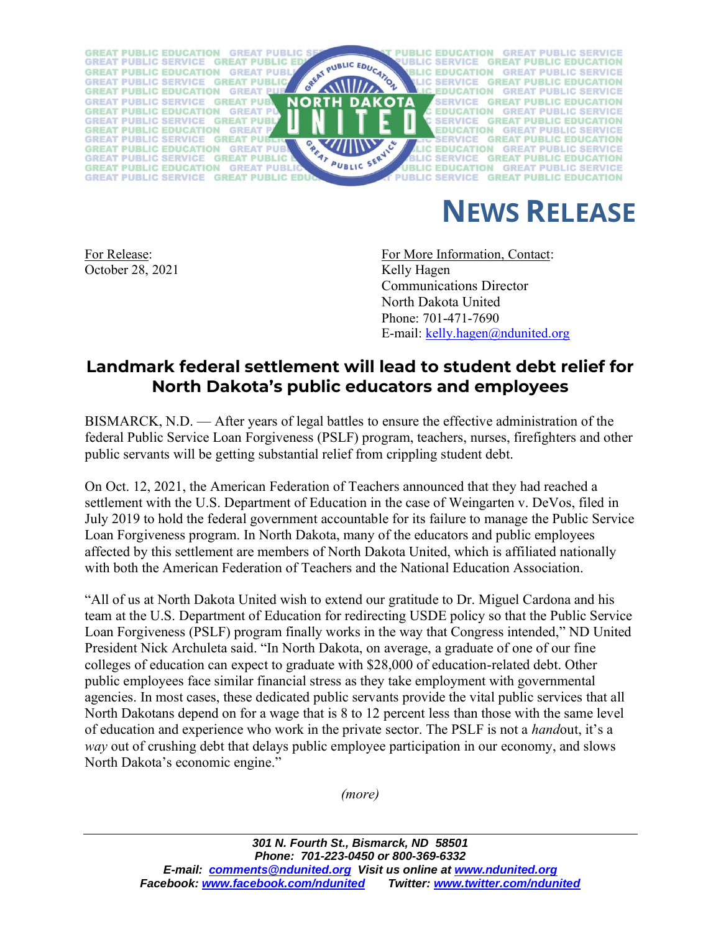

## **NEWS RELEASE**

October 28, 2021 Kelly Hagen

For Release: For More Information, Contact: Communications Director North Dakota United Phone: 701-471-7690 E-mail: [kelly.hagen@ndunited.org](mailto:kelly.hagen@ndunited.org)

## **Landmark federal settlement will lead to student debt relief for North Dakota's public educators and employees**

BISMARCK, N.D. — After years of legal battles to ensure the effective administration of the federal Public Service Loan Forgiveness (PSLF) program, teachers, nurses, firefighters and other public servants will be getting substantial relief from crippling student debt.

On Oct. 12, 2021, the American Federation of Teachers announced that they had reached a settlement with the U.S. Department of Education in the case of Weingarten v. DeVos, filed in July 2019 to hold the federal government accountable for its failure to manage the Public Service Loan Forgiveness program. In North Dakota, many of the educators and public employees affected by this settlement are members of North Dakota United, which is affiliated nationally with both the American Federation of Teachers and the National Education Association.

"All of us at North Dakota United wish to extend our gratitude to Dr. Miguel Cardona and his team at the U.S. Department of Education for redirecting USDE policy so that the Public Service Loan Forgiveness (PSLF) program finally works in the way that Congress intended," ND United President Nick Archuleta said. "In North Dakota, on average, a graduate of one of our fine colleges of education can expect to graduate with \$28,000 of education-related debt. Other public employees face similar financial stress as they take employment with governmental agencies. In most cases, these dedicated public servants provide the vital public services that all North Dakotans depend on for a wage that is 8 to 12 percent less than those with the same level of education and experience who work in the private sector. The PSLF is not a *hand*out, it's a *way* out of crushing debt that delays public employee participation in our economy, and slows North Dakota's economic engine."

*(more)*